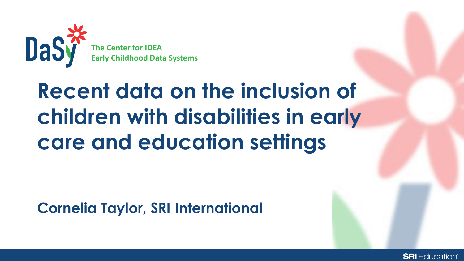

## **Recent data on the inclusion of children with disabilities in early care and education settings**

**Cornelia Taylor, SRI International** 

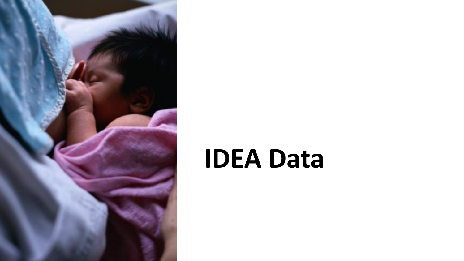

# **IDEA Data**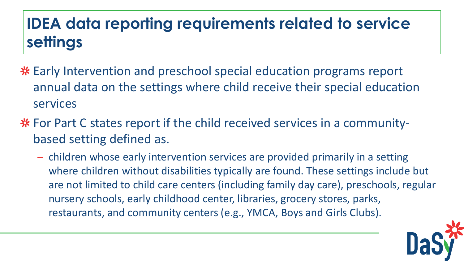## **IDEA data reporting requirements related to service settings**

- Early Intervention and preschool special education programs report annual data on the settings where child receive their special education services
- **\*** For Part C states report if the child received services in a communitybased setting defined as.
	- where children without disabilities typically are found. These settings include but – children whose early intervention services are provided primarily in a setting are not limited to child care centers (including family day care), preschools, regular nursery schools, early childhood center, libraries, grocery stores, parks, restaurants, and community centers (e.g., YMCA, Boys and Girls Clubs).

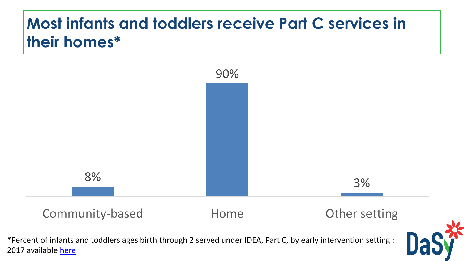## **Most infants and toddlers receive Part C services in their homes\***

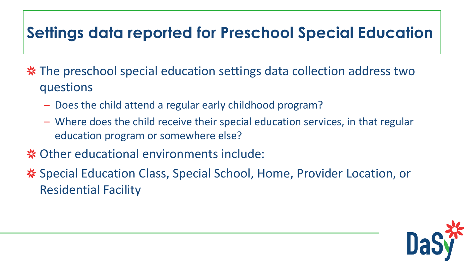### **Settings data reported for Preschool Special Education**

\* The preschool special education settings data collection address two questions

- Does the child attend a regular early childhood program?
- Where does the child receive their special education services, in that regular education program or somewhere else?
- **米 Other educational environments include:**
- **※ Special Education Class, Special School, Home, Provider Location, or** Residential Facility

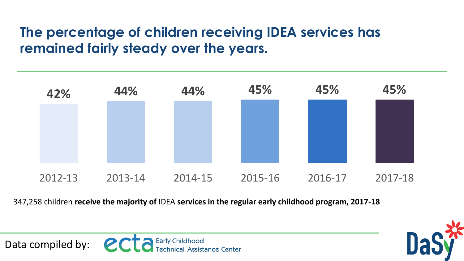### **The percentage of children receiving IDEA services has remained fairly steady over the years.**



 347,258 children **receive the majority of** IDEA **services in the regular early childhood program, 2017-18** 

Data compiled by:  $\mathbf{C} \mathbf{C} \mathbf{C}$  Early Childhood

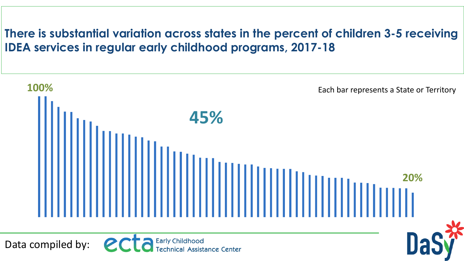**There is substantial variation across states in the percent of children 3-5 receiving IDEA services in regular early childhood programs, 2017-18** 

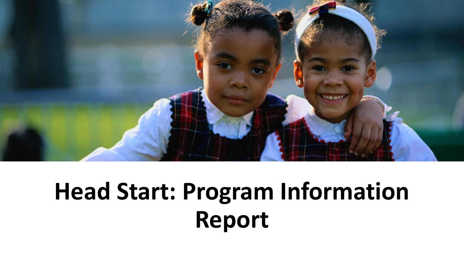

## **Head Start: Program Information Report**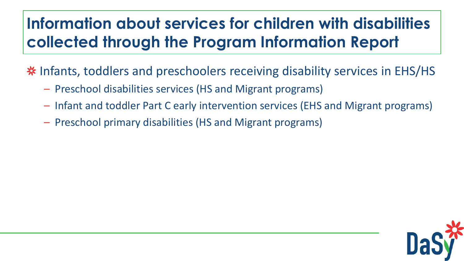## **Information about services for children with disabilities collected through the Program Information Report**

Infants, toddlers and preschoolers receiving disability services in EHS/HS

- Preschool disabilities services (HS and Migrant programs)
- Infant and toddler Part C early intervention services (EHS and Migrant programs)
- Preschool primary disabilities (HS and Migrant programs)

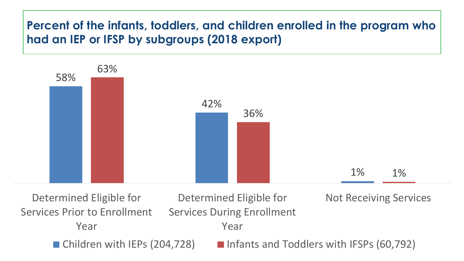#### **Percent of the infants, toddlers, and children enrolled in the program who had an IEP or IFSP by subgroups (2018 export)**



 $\blacksquare$  Children with IEPs (204,728) Determined Eligible for Determined Eligible for Not Receiving Services Services Prior to Enrollment Services During Enrollment Year Year **Example 12 Infants and Toddlers with IFSPs (60,792)**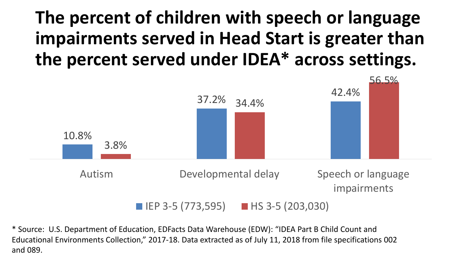## **The percent of children with speech or language impairments served in Head Start is greater than the percent served under IDEA\* across settings.**



\* Source: U.S. Department of Education, EDFacts Data Warehouse (EDW): "IDEA Part B Child Count and Educational Environments Collection," 2017-18. Data extracted as of July 11, 2018 from file specifications 002 and 089.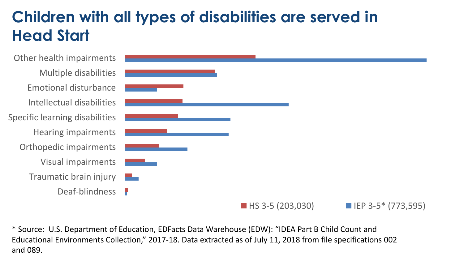### **Children with all types of disabilities are served in Head Start**

L L L Other health impairments Multiple disabilities Emotional disturbance Intellectual disabilities Specific learning disabilities Hearing impairments Orthopedic impairments Visual impairments Traumatic brain injury Deaf-blindness



\* Source: U.S. Department of Education, EDFacts Data Warehouse (EDW): "IDEA Part B Child Count and Educational Environments Collection," 2017-18. Data extracted as of July 11, 2018 from file specifications 002 and 089.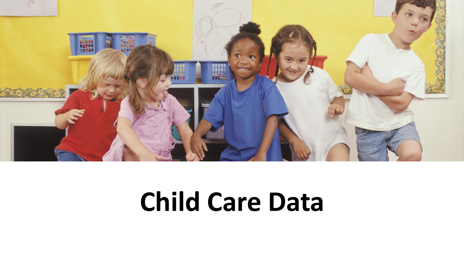

## **Child Care Data**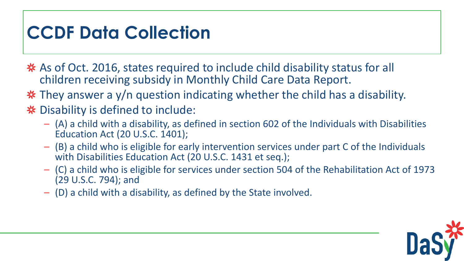## **CCDF Data Collection**

- \* As of Oct. 2016, states required to include child disability status for all children receiving subsidy in Monthly Child Care Data Report.
- They answer a y/n question indicating whether the child has a disability.

#### **※** Disability is defined to include:

- (A) a child with a disability, as defined in section 602 of the Individuals with Disabilities Education Act (20 U.S.C. 1401);
- (B) a child who is eligible for early intervention services under part C of the Individuals with Disabilities Education Act (20 U.S.C. 1431 et seq.);
- (C) a child who is eligible for services under section 504 of the Rehabilitation Act of 1973 (29 U.S.C. 794); and
- (D) a child with a disability, as defined by the State involved.